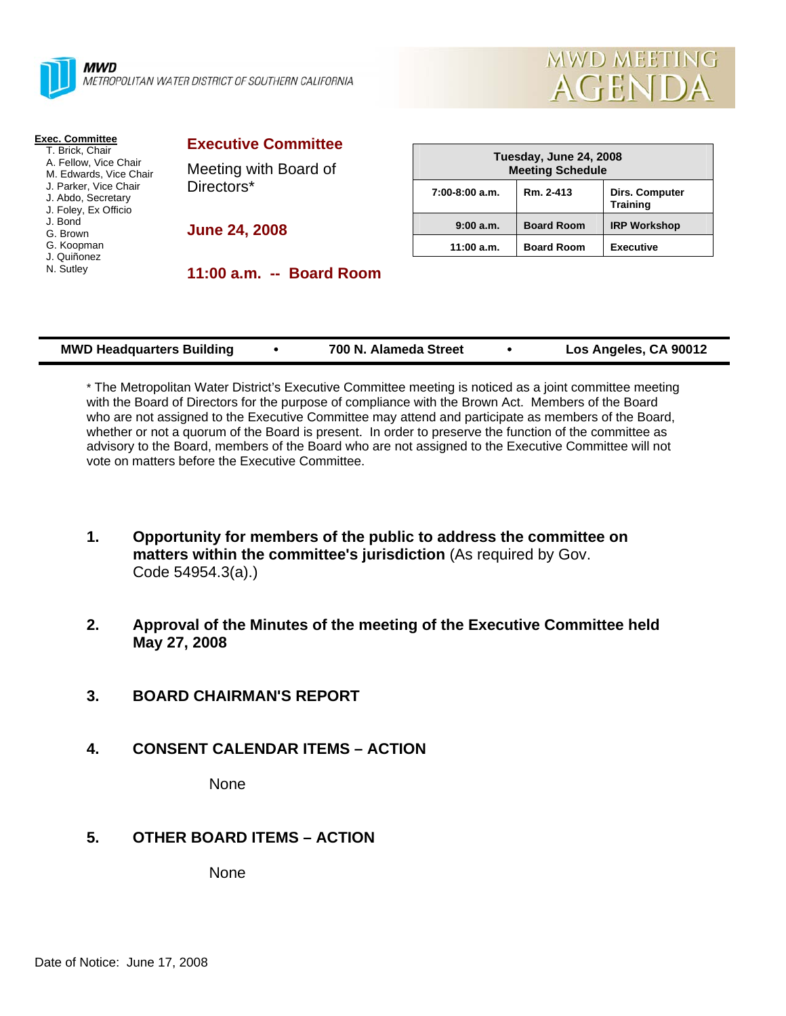|  | л |
|--|---|
|  |   |
|  | Ν |
|  |   |

**AWD** AETROPOLITAN WATER DISTRICT OF SOUTHERN CALIFORNIA



| <b>Exec. Committee</b> |  |  |  |  |
|------------------------|--|--|--|--|
|                        |  |  |  |  |

- T. Brick, Chair A. Fellow, Vice Chair
- M. Edwards, Vice Chair
- J. Parker, Vice Chair
- J. Abdo, Secretary
- J. Foley, Ex Officio
- J. Bond
- G. Brown G. Koopman
- J. Quiñonez
- N. Sutley

**Executive Committee**

Meeting with Board of Directors\*

**June 24, 2008** 

**11:00 a.m. -- Board Room** 

| Tuesday, June 24, 2008<br><b>Meeting Schedule</b> |                   |                                          |  |  |
|---------------------------------------------------|-------------------|------------------------------------------|--|--|
| $7:00-8:00$ a.m.                                  | Rm. 2-413         | <b>Dirs. Computer</b><br><b>Training</b> |  |  |
| 9:00 a.m.                                         | <b>Board Room</b> | <b>IRP Workshop</b>                      |  |  |
| 11:00 a.m.                                        | <b>Board Room</b> | <b>Executive</b>                         |  |  |

| <b>MWD Headquarters Building</b> | 700 N. Alameda Street | Los Angeles, CA 90012 |
|----------------------------------|-----------------------|-----------------------|
|                                  |                       |                       |

\* The Metropolitan Water District's Executive Committee meeting is noticed as a joint committee meeting with the Board of Directors for the purpose of compliance with the Brown Act. Members of the Board who are not assigned to the Executive Committee may attend and participate as members of the Board, whether or not a quorum of the Board is present. In order to preserve the function of the committee as advisory to the Board, members of the Board who are not assigned to the Executive Committee will not vote on matters before the Executive Committee.

- **1. Opportunity for members of the public to address the committee on matters within the committee's jurisdiction** (As required by Gov. Code 54954.3(a).)
- **2. Approval of the Minutes of the meeting of the Executive Committee held May 27, 2008**
- **3. BOARD CHAIRMAN'S REPORT**
- **4. CONSENT CALENDAR ITEMS ACTION**

None

## **5. OTHER BOARD ITEMS – ACTION**

None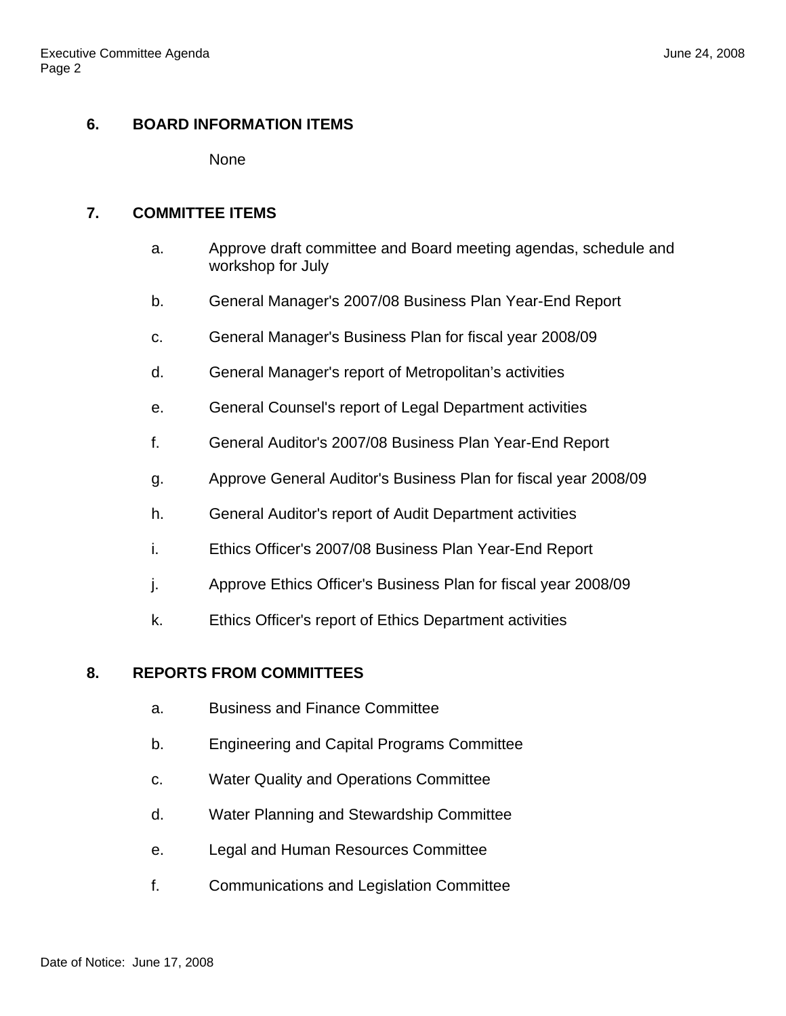# **6. BOARD INFORMATION ITEMS**

None

## **7. COMMITTEE ITEMS**

- a. Approve draft committee and Board meeting agendas, schedule and workshop for July
- b. General Manager's 2007/08 Business Plan Year-End Report
- c. General Manager's Business Plan for fiscal year 2008/09
- d. General Manager's report of Metropolitan's activities
- e. General Counsel's report of Legal Department activities
- f. General Auditor's 2007/08 Business Plan Year-End Report
- g. Approve General Auditor's Business Plan for fiscal year 2008/09
- h. General Auditor's report of Audit Department activities
- i. Ethics Officer's 2007/08 Business Plan Year-End Report
- j. Approve Ethics Officer's Business Plan for fiscal year 2008/09
- k. Ethics Officer's report of Ethics Department activities

## **8. REPORTS FROM COMMITTEES**

- a. Business and Finance Committee
- b. Engineering and Capital Programs Committee
- c. Water Quality and Operations Committee
- d. Water Planning and Stewardship Committee
- e. Legal and Human Resources Committee
- f. Communications and Legislation Committee